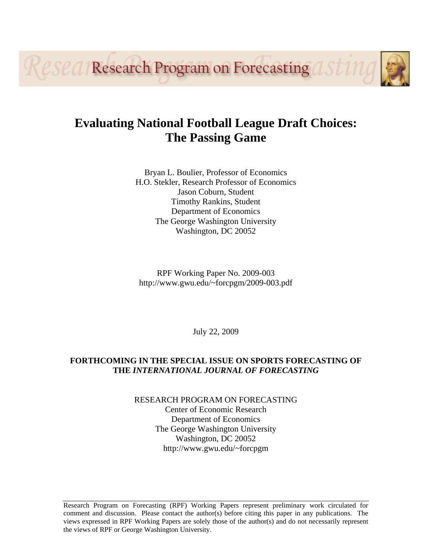**LESCA/Research Program on Forecasting** 

# **Evaluating National Football League Draft Choices: The Passing Game**

Bryan L. Boulier, Professor of Economics H.O. Stekler, Research Professor of Economics Jason Coburn, Student Timothy Rankins, Student Department of Economics The George Washington University Washington, DC 20052

RPF Working Paper No. 2009-003 http://www.gwu.edu/~forcpgm/2009-003.pdf

July 22, 2009

# **FORTHCOMING IN THE SPECIAL ISSUE ON SPORTS FORECASTING OF THE** *INTERNATIONAL JOURNAL OF FORECASTING*

RESEARCH PROGRAM ON FORECASTING Center of Economic Research Department of Economics The George Washington University Washington, DC 20052 http://www.gwu.edu/~forcpgm

Research Program on Forecasting (RPF) Working Papers represent preliminary work circulated for comment and discussion. Please contact the author(s) before citing this paper in any publications. The views expressed in RPF Working Papers are solely those of the author(s) and do not necessarily represent the views of RPF or George Washington University.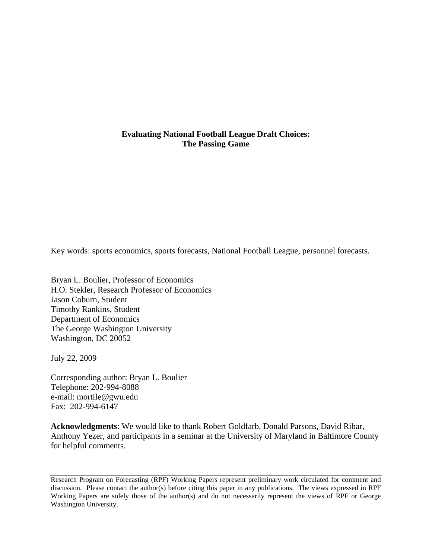# **Evaluating National Football League Draft Choices: The Passing Game**

Key words: sports economics, sports forecasts, National Football League, personnel forecasts.

Bryan L. Boulier, Professor of Economics H.O. Stekler, Research Professor of Economics Jason Coburn, Student Timothy Rankins, Student Department of Economics The George Washington University Washington, DC 20052

July 22, 2009

Corresponding author: Bryan L. Boulier Telephone: 202-994-8088 e-mail: mortile@gwu.edu Fax: 202-994-6147

**Acknowledgments**: We would like to thank Robert Goldfarb, Donald Parsons, David Ribar, Anthony Yezer, and participants in a seminar at the University of Maryland in Baltimore County for helpful comments.

Research Program on Forecasting (RPF) Working Papers represent preliminary work circulated for comment and discussion. Please contact the author(s) before citing this paper in any publications. The views expressed in RPF Working Papers are solely those of the author(s) and do not necessarily represent the views of RPF or George Washington University.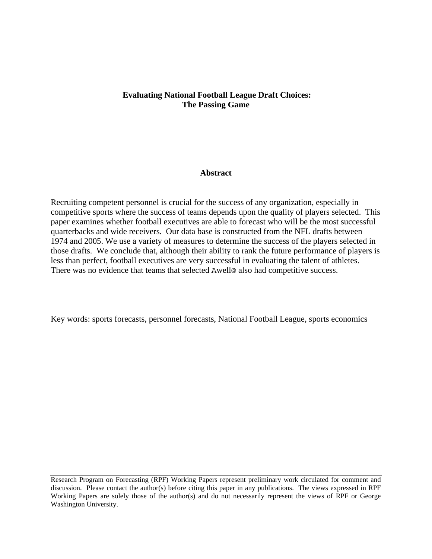# **Evaluating National Football League Draft Choices: The Passing Game**

## **Abstract**

Recruiting competent personnel is crucial for the success of any organization, especially in competitive sports where the success of teams depends upon the quality of players selected. This paper examines whether football executives are able to forecast who will be the most successful quarterbacks and wide receivers. Our data base is constructed from the NFL drafts between 1974 and 2005. We use a variety of measures to determine the success of the players selected in those drafts. We conclude that, although their ability to rank the future performance of players is less than perfect, football executives are very successful in evaluating the talent of athletes. There was no evidence that teams that selected Awell@ also had competitive success.

Key words: sports forecasts, personnel forecasts, National Football League, sports economics

Research Program on Forecasting (RPF) Working Papers represent preliminary work circulated for comment and discussion. Please contact the author(s) before citing this paper in any publications. The views expressed in RPF Working Papers are solely those of the author(s) and do not necessarily represent the views of RPF or George Washington University.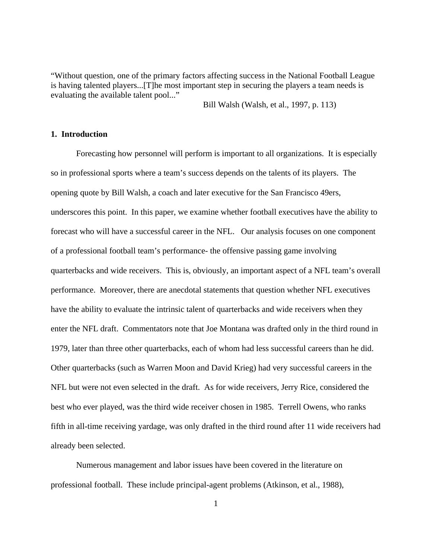"Without question, one of the primary factors affecting success in the National Football League is having talented players...[T]he most important step in securing the players a team needs is evaluating the available talent pool..."

Bill Walsh (Walsh, et al., 1997, p. 113)

## **1. Introduction**

 Forecasting how personnel will perform is important to all organizations. It is especially so in professional sports where a team's success depends on the talents of its players. The opening quote by Bill Walsh, a coach and later executive for the San Francisco 49ers, underscores this point. In this paper, we examine whether football executives have the ability to forecast who will have a successful career in the NFL. Our analysis focuses on one component of a professional football team's performance- the offensive passing game involving quarterbacks and wide receivers. This is, obviously, an important aspect of a NFL team's overall performance. Moreover, there are anecdotal statements that question whether NFL executives have the ability to evaluate the intrinsic talent of quarterbacks and wide receivers when they enter the NFL draft. Commentators note that Joe Montana was drafted only in the third round in 1979, later than three other quarterbacks, each of whom had less successful careers than he did. Other quarterbacks (such as Warren Moon and David Krieg) had very successful careers in the NFL but were not even selected in the draft. As for wide receivers, Jerry Rice, considered the best who ever played, was the third wide receiver chosen in 1985. Terrell Owens, who ranks fifth in all-time receiving yardage, was only drafted in the third round after 11 wide receivers had already been selected.

 Numerous management and labor issues have been covered in the literature on professional football. These include principal-agent problems (Atkinson, et al., 1988),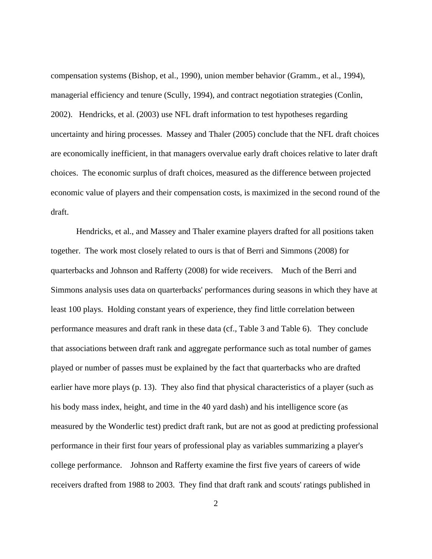compensation systems (Bishop, et al., 1990), union member behavior (Gramm., et al., 1994), managerial efficiency and tenure (Scully, 1994), and contract negotiation strategies (Conlin, 2002). Hendricks, et al. (2003) use NFL draft information to test hypotheses regarding uncertainty and hiring processes. Massey and Thaler (2005) conclude that the NFL draft choices are economically inefficient, in that managers overvalue early draft choices relative to later draft choices. The economic surplus of draft choices, measured as the difference between projected economic value of players and their compensation costs, is maximized in the second round of the draft.

 Hendricks, et al., and Massey and Thaler examine players drafted for all positions taken together. The work most closely related to ours is that of Berri and Simmons (2008) for quarterbacks and Johnson and Rafferty (2008) for wide receivers. Much of the Berri and Simmons analysis uses data on quarterbacks' performances during seasons in which they have at least 100 plays. Holding constant years of experience, they find little correlation between performance measures and draft rank in these data (cf., Table 3 and Table 6). They conclude that associations between draft rank and aggregate performance such as total number of games played or number of passes must be explained by the fact that quarterbacks who are drafted earlier have more plays (p. 13). They also find that physical characteristics of a player (such as his body mass index, height, and time in the 40 yard dash) and his intelligence score (as measured by the Wonderlic test) predict draft rank, but are not as good at predicting professional performance in their first four years of professional play as variables summarizing a player's college performance. Johnson and Rafferty examine the first five years of careers of wide receivers drafted from 1988 to 2003. They find that draft rank and scouts' ratings published in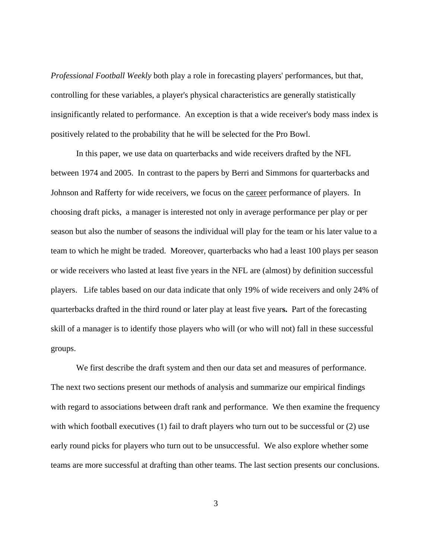*Professional Football Weekly* both play a role in forecasting players' performances, but that, controlling for these variables, a player's physical characteristics are generally statistically insignificantly related to performance. An exception is that a wide receiver's body mass index is positively related to the probability that he will be selected for the Pro Bowl.

 In this paper, we use data on quarterbacks and wide receivers drafted by the NFL between 1974 and 2005. In contrast to the papers by Berri and Simmons for quarterbacks and Johnson and Rafferty for wide receivers, we focus on the career performance of players. In choosing draft picks, a manager is interested not only in average performance per play or per season but also the number of seasons the individual will play for the team or his later value to a team to which he might be traded. Moreover, quarterbacks who had a least 100 plays per season or wide receivers who lasted at least five years in the NFL are (almost) by definition successful players. Life tables based on our data indicate that only 19% of wide receivers and only 24% of quarterbacks drafted in the third round or later play at least five year**s.** Part of the forecasting skill of a manager is to identify those players who will (or who will not) fall in these successful groups.

 We first describe the draft system and then our data set and measures of performance. The next two sections present our methods of analysis and summarize our empirical findings with regard to associations between draft rank and performance. We then examine the frequency with which football executives (1) fail to draft players who turn out to be successful or (2) use early round picks for players who turn out to be unsuccessful. We also explore whether some teams are more successful at drafting than other teams. The last section presents our conclusions.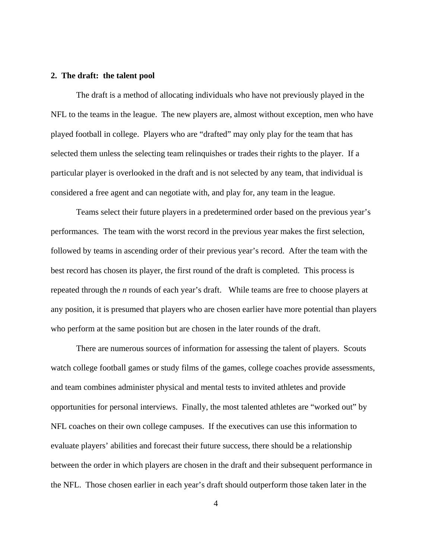## **2. The draft: the talent pool**

 The draft is a method of allocating individuals who have not previously played in the NFL to the teams in the league. The new players are, almost without exception, men who have played football in college. Players who are "drafted" may only play for the team that has selected them unless the selecting team relinquishes or trades their rights to the player. If a particular player is overlooked in the draft and is not selected by any team, that individual is considered a free agent and can negotiate with, and play for, any team in the league.

 Teams select their future players in a predetermined order based on the previous year's performances. The team with the worst record in the previous year makes the first selection, followed by teams in ascending order of their previous year's record. After the team with the best record has chosen its player, the first round of the draft is completed. This process is repeated through the *n* rounds of each year's draft. While teams are free to choose players at any position, it is presumed that players who are chosen earlier have more potential than players who perform at the same position but are chosen in the later rounds of the draft.

 There are numerous sources of information for assessing the talent of players. Scouts watch college football games or study films of the games, college coaches provide assessments, and team combines administer physical and mental tests to invited athletes and provide opportunities for personal interviews. Finally, the most talented athletes are "worked out" by NFL coaches on their own college campuses. If the executives can use this information to evaluate players' abilities and forecast their future success, there should be a relationship between the order in which players are chosen in the draft and their subsequent performance in the NFL. Those chosen earlier in each year's draft should outperform those taken later in the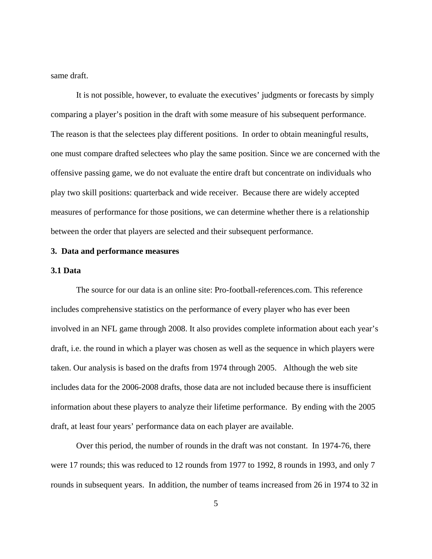same draft.

 It is not possible, however, to evaluate the executives' judgments or forecasts by simply comparing a player's position in the draft with some measure of his subsequent performance. The reason is that the selectees play different positions. In order to obtain meaningful results, one must compare drafted selectees who play the same position. Since we are concerned with the offensive passing game, we do not evaluate the entire draft but concentrate on individuals who play two skill positions: quarterback and wide receiver. Because there are widely accepted measures of performance for those positions, we can determine whether there is a relationship between the order that players are selected and their subsequent performance.

#### **3. Data and performance measures**

#### **3.1 Data**

 The source for our data is an online site: Pro-football-references.com. This reference includes comprehensive statistics on the performance of every player who has ever been involved in an NFL game through 2008. It also provides complete information about each year's draft, i.e. the round in which a player was chosen as well as the sequence in which players were taken. Our analysis is based on the drafts from 1974 through 2005. Although the web site includes data for the 2006-2008 drafts, those data are not included because there is insufficient information about these players to analyze their lifetime performance. By ending with the 2005 draft, at least four years' performance data on each player are available.

 Over this period, the number of rounds in the draft was not constant. In 1974-76, there were 17 rounds; this was reduced to 12 rounds from 1977 to 1992, 8 rounds in 1993, and only 7 rounds in subsequent years. In addition, the number of teams increased from 26 in 1974 to 32 in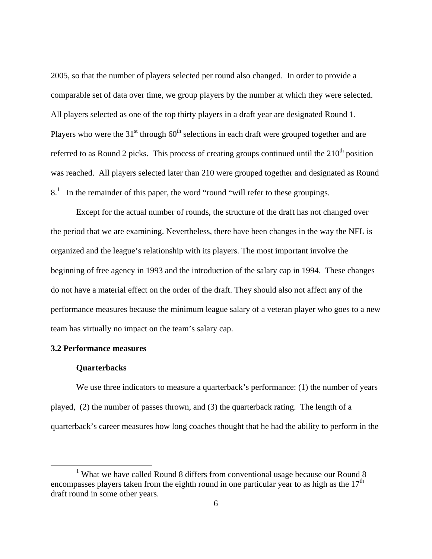2005, so that the number of players selected per round also changed. In order to provide a comparable set of data over time, we group players by the number at which they were selected. All players selected as one of the top thirty players in a draft year are designated Round 1. Players who were the  $31<sup>st</sup>$  through  $60<sup>th</sup>$  selections in each draft were grouped together and are referred to as Round 2 picks. This process of creating groups continued until the  $210<sup>th</sup>$  position was reached. All players selected later than 210 were grouped together and designated as Round  $8<sup>1</sup>$  In the remainder of this paper, the word "round "will refer to these groupings.

Except for the actual number of rounds, the structure of the draft has not changed over the period that we are examining. Nevertheless, there have been changes in the way the NFL is organized and the league's relationship with its players. The most important involve the beginning of free agency in 1993 and the introduction of the salary cap in 1994. These changes do not have a material effect on the order of the draft. They should also not affect any of the performance measures because the minimum league salary of a veteran player who goes to a new team has virtually no impact on the team's salary cap.

## **3.2 Performance measures**

#### **Quarterbacks**

We use three indicators to measure a quarterback's performance: (1) the number of years played, (2) the number of passes thrown, and (3) the quarterback rating. The length of a quarterback's career measures how long coaches thought that he had the ability to perform in the

 $\frac{1}{1}$ <sup>1</sup> What we have called Round 8 differs from conventional usage because our Round 8 encompasses players taken from the eighth round in one particular year to as high as the  $17<sup>th</sup>$ draft round in some other years.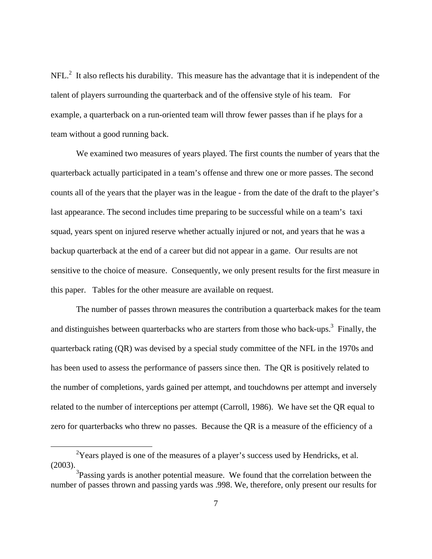$NFL<sup>2</sup>$  It also reflects his durability. This measure has the advantage that it is independent of the talent of players surrounding the quarterback and of the offensive style of his team. For example, a quarterback on a run-oriented team will throw fewer passes than if he plays for a team without a good running back.

We examined two measures of years played. The first counts the number of years that the quarterback actually participated in a team's offense and threw one or more passes. The second counts all of the years that the player was in the league - from the date of the draft to the player's last appearance. The second includes time preparing to be successful while on a team's taxi squad, years spent on injured reserve whether actually injured or not, and years that he was a backup quarterback at the end of a career but did not appear in a game. Our results are not sensitive to the choice of measure. Consequently, we only present results for the first measure in this paper. Tables for the other measure are available on request.

The number of passes thrown measures the contribution a quarterback makes for the team and distinguishes between quarterbacks who are starters from those who back-ups.<sup>3</sup> Finally, the quarterback rating (QR) was devised by a special study committee of the NFL in the 1970s and has been used to assess the performance of passers since then. The QR is positively related to the number of completions, yards gained per attempt, and touchdowns per attempt and inversely related to the number of interceptions per attempt (Carroll, 1986). We have set the QR equal to zero for quarterbacks who threw no passes. Because the QR is a measure of the efficiency of a

 $\frac{1}{2}$  $\rm{^{2}Y}$ ears played is one of the measures of a player's success used by Hendricks, et al. (2003).

 $3$ Passing yards is another potential measure. We found that the correlation between the number of passes thrown and passing yards was .998. We, therefore, only present our results for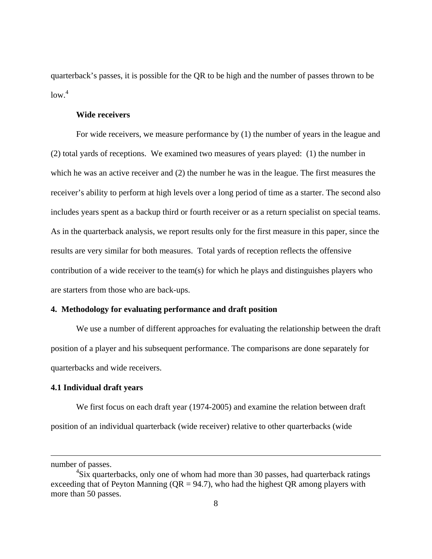quarterback's passes, it is possible for the QR to be high and the number of passes thrown to be  $low.<sup>4</sup>$ 

#### **Wide receivers**

 For wide receivers, we measure performance by (1) the number of years in the league and (2) total yards of receptions. We examined two measures of years played: (1) the number in which he was an active receiver and (2) the number he was in the league. The first measures the receiver's ability to perform at high levels over a long period of time as a starter. The second also includes years spent as a backup third or fourth receiver or as a return specialist on special teams. As in the quarterback analysis, we report results only for the first measure in this paper, since the results are very similar for both measures. Total yards of reception reflects the offensive contribution of a wide receiver to the team(s) for which he plays and distinguishes players who are starters from those who are back-ups.

#### **4. Methodology for evaluating performance and draft position**

 We use a number of different approaches for evaluating the relationship between the draft position of a player and his subsequent performance. The comparisons are done separately for quarterbacks and wide receivers.

#### **4.1 Individual draft years**

 We first focus on each draft year (1974-2005) and examine the relation between draft position of an individual quarterback (wide receiver) relative to other quarterbacks (wide

 $\overline{a}$ 

number of passes.

<sup>&</sup>lt;sup>4</sup>Six quarterbacks, only one of whom had more than 30 passes, had quarterback ratings exceeding that of Peyton Manning ( $QR = 94.7$ ), who had the highest  $QR$  among players with more than 50 passes.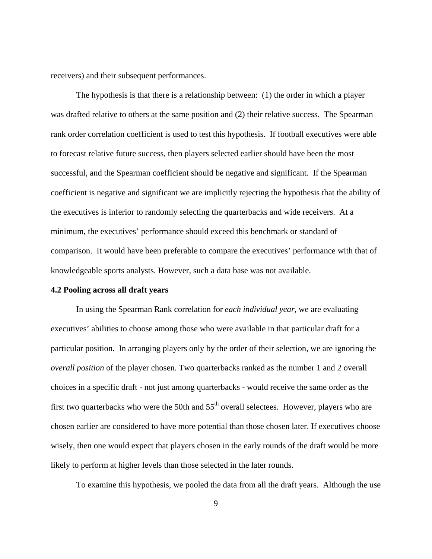receivers) and their subsequent performances.

The hypothesis is that there is a relationship between: (1) the order in which a player was drafted relative to others at the same position and (2) their relative success. The Spearman rank order correlation coefficient is used to test this hypothesis. If football executives were able to forecast relative future success, then players selected earlier should have been the most successful, and the Spearman coefficient should be negative and significant. If the Spearman coefficient is negative and significant we are implicitly rejecting the hypothesis that the ability of the executives is inferior to randomly selecting the quarterbacks and wide receivers. At a minimum, the executives' performance should exceed this benchmark or standard of comparison. It would have been preferable to compare the executives' performance with that of knowledgeable sports analysts. However, such a data base was not available.

#### **4.2 Pooling across all draft years**

 In using the Spearman Rank correlation for *each individual year*, we are evaluating executives' abilities to choose among those who were available in that particular draft for a particular position. In arranging players only by the order of their selection, we are ignoring the *overall position* of the player chosen. Two quarterbacks ranked as the number 1 and 2 overall choices in a specific draft - not just among quarterbacks - would receive the same order as the first two quarterbacks who were the 50th and  $55<sup>th</sup>$  overall selectees. However, players who are chosen earlier are considered to have more potential than those chosen later. If executives choose wisely, then one would expect that players chosen in the early rounds of the draft would be more likely to perform at higher levels than those selected in the later rounds.

To examine this hypothesis, we pooled the data from all the draft years. Although the use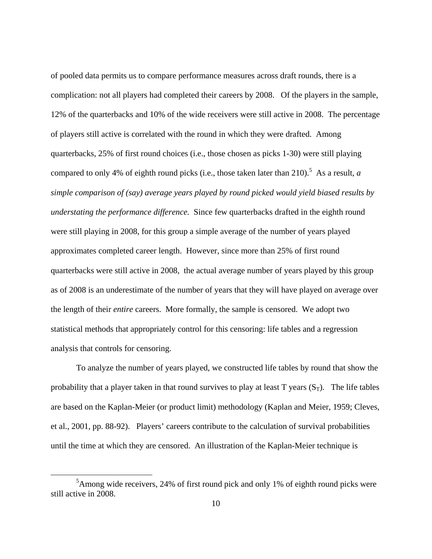of pooled data permits us to compare performance measures across draft rounds, there is a complication: not all players had completed their careers by 2008. Of the players in the sample, 12% of the quarterbacks and 10% of the wide receivers were still active in 2008. The percentage of players still active is correlated with the round in which they were drafted. Among quarterbacks, 25% of first round choices (i.e., those chosen as picks 1-30) were still playing compared to only 4% of eighth round picks (i.e., those taken later than 210).<sup>5</sup> As a result, *a simple comparison of (say) average years played by round picked would yield biased results by understating the performance difference.* Since few quarterbacks drafted in the eighth round were still playing in 2008, for this group a simple average of the number of years played approximates completed career length. However, since more than 25% of first round quarterbacks were still active in 2008, the actual average number of years played by this group as of 2008 is an underestimate of the number of years that they will have played on average over the length of their *entire* careers. More formally, the sample is censored. We adopt two statistical methods that appropriately control for this censoring: life tables and a regression analysis that controls for censoring.

To analyze the number of years played, we constructed life tables by round that show the probability that a player taken in that round survives to play at least T years  $(S_T)$ . The life tables are based on the Kaplan-Meier (or product limit) methodology (Kaplan and Meier, 1959; Cleves, et al., 2001, pp. 88-92). Players' careers contribute to the calculation of survival probabilities until the time at which they are censored. An illustration of the Kaplan-Meier technique is

 $rac{1}{5}$  ${}^{5}$ Among wide receivers, 24% of first round pick and only 1% of eighth round picks were still active in 2008.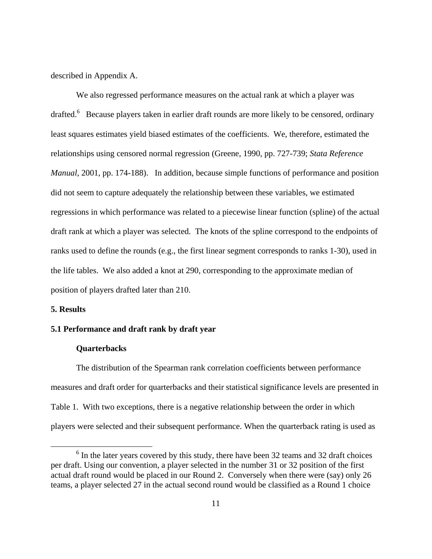described in Appendix A.

 We also regressed performance measures on the actual rank at which a player was drafted.<sup>6</sup> Because players taken in earlier draft rounds are more likely to be censored, ordinary least squares estimates yield biased estimates of the coefficients. We, therefore, estimated the relationships using censored normal regression (Greene, 1990, pp. 727-739; *Stata Reference Manual*, 2001, pp. 174-188). In addition, because simple functions of performance and position did not seem to capture adequately the relationship between these variables, we estimated regressions in which performance was related to a piecewise linear function (spline) of the actual draft rank at which a player was selected. The knots of the spline correspond to the endpoints of ranks used to define the rounds (e.g., the first linear segment corresponds to ranks 1-30), used in the life tables. We also added a knot at 290, corresponding to the approximate median of position of players drafted later than 210.

#### **5. Results**

## **5.1 Performance and draft rank by draft year**

## **Quarterbacks**

 The distribution of the Spearman rank correlation coefficients between performance measures and draft order for quarterbacks and their statistical significance levels are presented in Table 1. With two exceptions, there is a negative relationship between the order in which players were selected and their subsequent performance. When the quarterback rating is used as

 <sup>6</sup>  $<sup>6</sup>$  In the later years covered by this study, there have been 32 teams and 32 draft choices</sup> per draft. Using our convention, a player selected in the number 31 or 32 position of the first actual draft round would be placed in our Round 2. Conversely when there were (say) only 26 teams, a player selected 27 in the actual second round would be classified as a Round 1 choice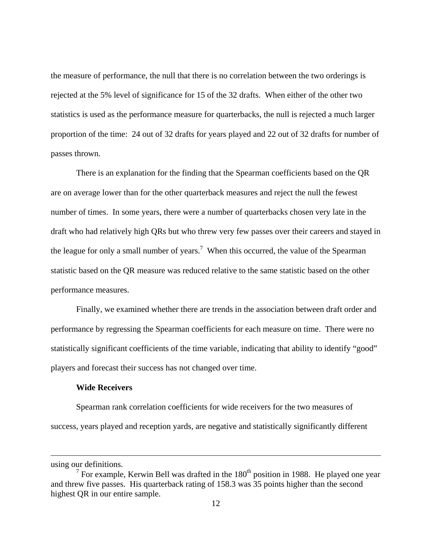the measure of performance, the null that there is no correlation between the two orderings is rejected at the 5% level of significance for 15 of the 32 drafts. When either of the other two statistics is used as the performance measure for quarterbacks, the null is rejected a much larger proportion of the time: 24 out of 32 drafts for years played and 22 out of 32 drafts for number of passes thrown.

 There is an explanation for the finding that the Spearman coefficients based on the QR are on average lower than for the other quarterback measures and reject the null the fewest number of times. In some years, there were a number of quarterbacks chosen very late in the draft who had relatively high QRs but who threw very few passes over their careers and stayed in the league for only a small number of years.<sup>7</sup> When this occurred, the value of the Spearman statistic based on the QR measure was reduced relative to the same statistic based on the other performance measures.

 Finally, we examined whether there are trends in the association between draft order and performance by regressing the Spearman coefficients for each measure on time. There were no statistically significant coefficients of the time variable, indicating that ability to identify "good" players and forecast their success has not changed over time.

## **Wide Receivers**

 Spearman rank correlation coefficients for wide receivers for the two measures of success, years played and reception yards, are negative and statistically significantly different

 $\overline{a}$ 

using our definitions.

<sup>&</sup>lt;sup>7</sup> For example, Kerwin Bell was drafted in the  $180<sup>th</sup>$  position in 1988. He played one year and threw five passes. His quarterback rating of 158.3 was 35 points higher than the second highest QR in our entire sample.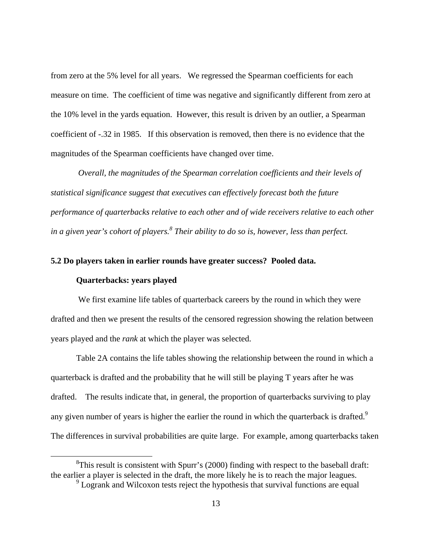from zero at the 5% level for all years. We regressed the Spearman coefficients for each measure on time. The coefficient of time was negative and significantly different from zero at the 10% level in the yards equation. However, this result is driven by an outlier, a Spearman coefficient of -.32 in 1985. If this observation is removed, then there is no evidence that the magnitudes of the Spearman coefficients have changed over time.

 *Overall, the magnitudes of the Spearman correlation coefficients and their levels of statistical significance suggest that executives can effectively forecast both the future performance of quarterbacks relative to each other and of wide receivers relative to each other in a given year's cohort of players.8 Their ability to do so is, however, less than perfect.* 

## **5.2 Do players taken in earlier rounds have greater success? Pooled data.**

## **Quarterbacks: years played**

 We first examine life tables of quarterback careers by the round in which they were drafted and then we present the results of the censored regression showing the relation between years played and the *rank* at which the player was selected.

 Table 2A contains the life tables showing the relationship between the round in which a quarterback is drafted and the probability that he will still be playing T years after he was drafted. The results indicate that, in general, the proportion of quarterbacks surviving to play any given number of years is higher the earlier the round in which the quarterback is drafted.<sup>9</sup> The differences in survival probabilities are quite large. For example, among quarterbacks taken

 <sup>8</sup>  ${}^{8}$ This result is consistent with Spurr's (2000) finding with respect to the baseball draft: the earlier a player is selected in the draft, the more likely he is to reach the major leagues.

<sup>&</sup>lt;sup>9</sup> Logrank and Wilcoxon tests reject the hypothesis that survival functions are equal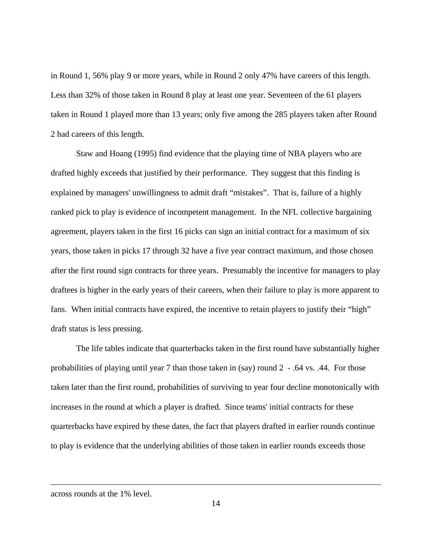in Round 1, 56% play 9 or more years, while in Round 2 only 47% have careers of this length. Less than 32% of those taken in Round 8 play at least one year. Seventeen of the 61 players taken in Round 1 played more than 13 years; only five among the 285 players taken after Round 2 had careers of this length.

 Staw and Hoang (1995) find evidence that the playing time of NBA players who are drafted highly exceeds that justified by their performance. They suggest that this finding is explained by managers' unwillingness to admit draft "mistakes". That is, failure of a highly ranked pick to play is evidence of incompetent management. In the NFL collective bargaining agreement, players taken in the first 16 picks can sign an initial contract for a maximum of six years, those taken in picks 17 through 32 have a five year contract maximum, and those chosen after the first round sign contracts for three years. Presumably the incentive for managers to play draftees is higher in the early years of their careers, when their failure to play is more apparent to fans. When initial contracts have expired, the incentive to retain players to justify their "high" draft status is less pressing.

The life tables indicate that quarterbacks taken in the first round have substantially higher probabilities of playing until year 7 than those taken in (say) round 2 - .64 vs. .44. For those taken later than the first round, probabilities of surviving to year four decline monotonically with increases in the round at which a player is drafted. Since teams' initial contracts for these quarterbacks have expired by these dates, the fact that players drafted in earlier rounds continue to play is evidence that the underlying abilities of those taken in earlier rounds exceeds those

1

across rounds at the 1% level.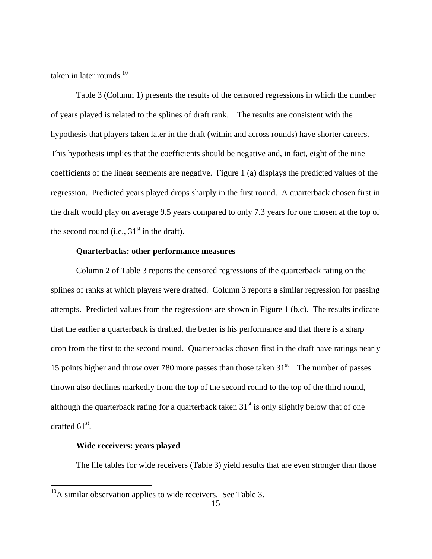taken in later rounds. $10$ 

 Table 3 (Column 1) presents the results of the censored regressions in which the number of years played is related to the splines of draft rank. The results are consistent with the hypothesis that players taken later in the draft (within and across rounds) have shorter careers. This hypothesis implies that the coefficients should be negative and, in fact, eight of the nine coefficients of the linear segments are negative. Figure 1 (a) displays the predicted values of the regression. Predicted years played drops sharply in the first round. A quarterback chosen first in the draft would play on average 9.5 years compared to only 7.3 years for one chosen at the top of the second round (i.e.,  $31<sup>st</sup>$  in the draft).

## **Quarterbacks: other performance measures**

 Column 2 of Table 3 reports the censored regressions of the quarterback rating on the splines of ranks at which players were drafted. Column 3 reports a similar regression for passing attempts. Predicted values from the regressions are shown in Figure 1 (b,c). The results indicate that the earlier a quarterback is drafted, the better is his performance and that there is a sharp drop from the first to the second round. Quarterbacks chosen first in the draft have ratings nearly 15 points higher and throw over 780 more passes than those taken  $31<sup>st</sup>$  The number of passes thrown also declines markedly from the top of the second round to the top of the third round, although the quarterback rating for a quarterback taken  $31<sup>st</sup>$  is only slightly below that of one drafted  $61^{\text{st}}$ .

## **Wide receivers: years played**

 $\overline{a}$ 

The life tables for wide receivers (Table 3) yield results that are even stronger than those

 $^{10}$ A similar observation applies to wide receivers. See Table 3.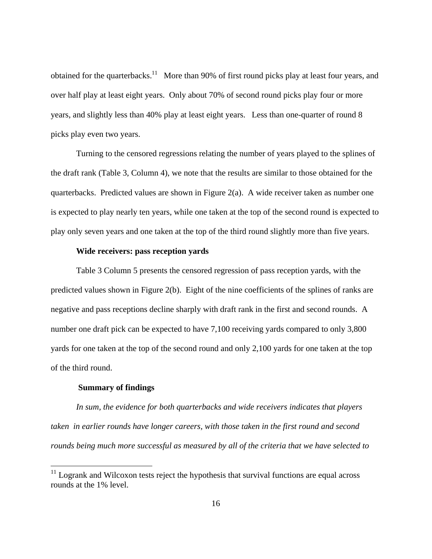obtained for the quarterbacks.<sup>11</sup> More than 90% of first round picks play at least four years, and over half play at least eight years. Only about 70% of second round picks play four or more years, and slightly less than 40% play at least eight years. Less than one-quarter of round 8 picks play even two years.

 Turning to the censored regressions relating the number of years played to the splines of the draft rank (Table 3, Column 4), we note that the results are similar to those obtained for the quarterbacks. Predicted values are shown in Figure 2(a). A wide receiver taken as number one is expected to play nearly ten years, while one taken at the top of the second round is expected to play only seven years and one taken at the top of the third round slightly more than five years.

## **Wide receivers: pass reception yards**

 Table 3 Column 5 presents the censored regression of pass reception yards, with the predicted values shown in Figure 2(b). Eight of the nine coefficients of the splines of ranks are negative and pass receptions decline sharply with draft rank in the first and second rounds. A number one draft pick can be expected to have 7,100 receiving yards compared to only 3,800 yards for one taken at the top of the second round and only 2,100 yards for one taken at the top of the third round.

#### **Summary of findings**

 $\overline{a}$ 

*In sum, the evidence for both quarterbacks and wide receivers indicates that players taken in earlier rounds have longer careers, with those taken in the first round and second rounds being much more successful as measured by all of the criteria that we have selected to* 

 $11$  Logrank and Wilcoxon tests reject the hypothesis that survival functions are equal across rounds at the 1% level.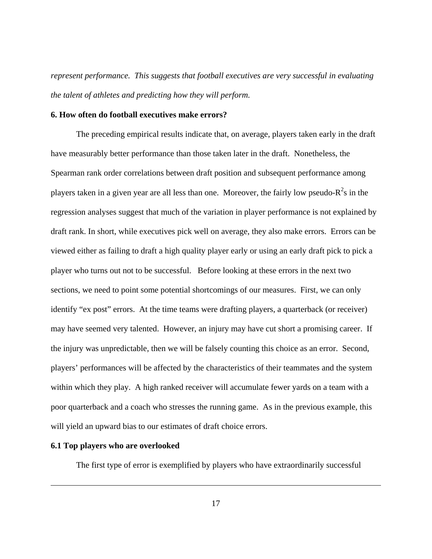*represent performance. This suggests that football executives are very successful in evaluating the talent of athletes and predicting how they will perform.* 

## **6. How often do football executives make errors?**

 The preceding empirical results indicate that, on average, players taken early in the draft have measurably better performance than those taken later in the draft. Nonetheless, the Spearman rank order correlations between draft position and subsequent performance among players taken in a given year are all less than one. Moreover, the fairly low pseudo- $R^2$ s in the regression analyses suggest that much of the variation in player performance is not explained by draft rank. In short, while executives pick well on average, they also make errors. Errors can be viewed either as failing to draft a high quality player early or using an early draft pick to pick a player who turns out not to be successful. Before looking at these errors in the next two sections, we need to point some potential shortcomings of our measures. First, we can only identify "ex post" errors. At the time teams were drafting players, a quarterback (or receiver) may have seemed very talented. However, an injury may have cut short a promising career. If the injury was unpredictable, then we will be falsely counting this choice as an error. Second, players' performances will be affected by the characteristics of their teammates and the system within which they play. A high ranked receiver will accumulate fewer yards on a team with a poor quarterback and a coach who stresses the running game. As in the previous example, this will yield an upward bias to our estimates of draft choice errors.

## **6.1 Top players who are overlooked**

 $\overline{a}$ 

The first type of error is exemplified by players who have extraordinarily successful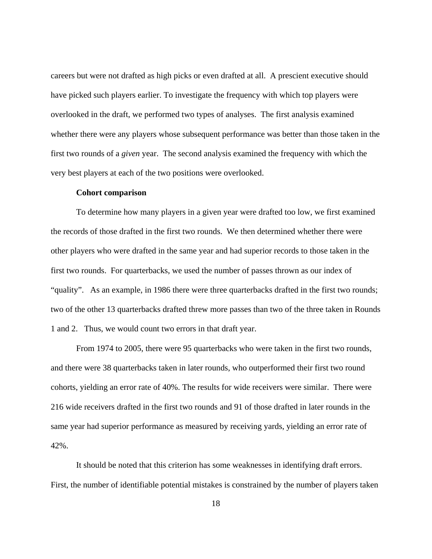careers but were not drafted as high picks or even drafted at all. A prescient executive should have picked such players earlier. To investigate the frequency with which top players were overlooked in the draft, we performed two types of analyses. The first analysis examined whether there were any players whose subsequent performance was better than those taken in the first two rounds of a *given* year. The second analysis examined the frequency with which the very best players at each of the two positions were overlooked.

#### **Cohort comparison**

 To determine how many players in a given year were drafted too low, we first examined the records of those drafted in the first two rounds. We then determined whether there were other players who were drafted in the same year and had superior records to those taken in the first two rounds. For quarterbacks, we used the number of passes thrown as our index of "quality". As an example, in 1986 there were three quarterbacks drafted in the first two rounds; two of the other 13 quarterbacks drafted threw more passes than two of the three taken in Rounds 1 and 2. Thus, we would count two errors in that draft year.

 From 1974 to 2005, there were 95 quarterbacks who were taken in the first two rounds, and there were 38 quarterbacks taken in later rounds, who outperformed their first two round cohorts, yielding an error rate of 40%. The results for wide receivers were similar. There were 216 wide receivers drafted in the first two rounds and 91 of those drafted in later rounds in the same year had superior performance as measured by receiving yards, yielding an error rate of 42%.

 It should be noted that this criterion has some weaknesses in identifying draft errors. First, the number of identifiable potential mistakes is constrained by the number of players taken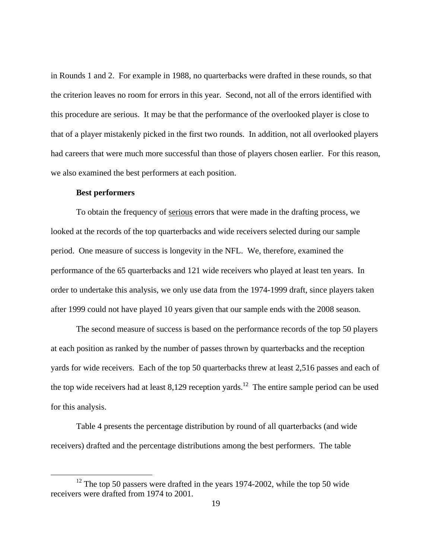in Rounds 1 and 2. For example in 1988, no quarterbacks were drafted in these rounds, so that the criterion leaves no room for errors in this year. Second, not all of the errors identified with this procedure are serious. It may be that the performance of the overlooked player is close to that of a player mistakenly picked in the first two rounds. In addition, not all overlooked players had careers that were much more successful than those of players chosen earlier. For this reason, we also examined the best performers at each position.

#### **Best performers**

To obtain the frequency of serious errors that were made in the drafting process, we looked at the records of the top quarterbacks and wide receivers selected during our sample period. One measure of success is longevity in the NFL. We, therefore, examined the performance of the 65 quarterbacks and 121 wide receivers who played at least ten years. In order to undertake this analysis, we only use data from the 1974-1999 draft, since players taken after 1999 could not have played 10 years given that our sample ends with the 2008 season.

 The second measure of success is based on the performance records of the top 50 players at each position as ranked by the number of passes thrown by quarterbacks and the reception yards for wide receivers. Each of the top 50 quarterbacks threw at least 2,516 passes and each of the top wide receivers had at least  $8,129$  reception yards.<sup>12</sup> The entire sample period can be used for this analysis.

 Table 4 presents the percentage distribution by round of all quarterbacks (and wide receivers) drafted and the percentage distributions among the best performers. The table

 $12$  The top 50 passers were drafted in the years 1974-2002, while the top 50 wide receivers were drafted from 1974 to 2001.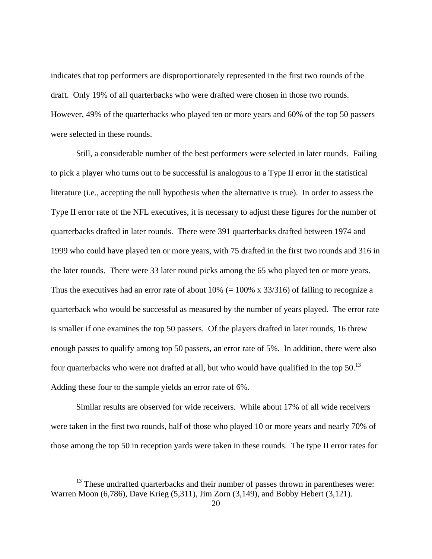indicates that top performers are disproportionately represented in the first two rounds of the draft. Only 19% of all quarterbacks who were drafted were chosen in those two rounds. However, 49% of the quarterbacks who played ten or more years and 60% of the top 50 passers were selected in these rounds.

 Still, a considerable number of the best performers were selected in later rounds. Failing to pick a player who turns out to be successful is analogous to a Type II error in the statistical literature (i.e., accepting the null hypothesis when the alternative is true). In order to assess the Type II error rate of the NFL executives, it is necessary to adjust these figures for the number of quarterbacks drafted in later rounds. There were 391 quarterbacks drafted between 1974 and 1999 who could have played ten or more years, with 75 drafted in the first two rounds and 316 in the later rounds. There were 33 later round picks among the 65 who played ten or more years. Thus the executives had an error rate of about  $10\%$  (=  $100\%$  x 33/316) of failing to recognize a quarterback who would be successful as measured by the number of years played. The error rate is smaller if one examines the top 50 passers. Of the players drafted in later rounds, 16 threw enough passes to qualify among top 50 passers, an error rate of 5%. In addition, there were also four quarterbacks who were not drafted at all, but who would have qualified in the top  $50^{13}$ Adding these four to the sample yields an error rate of 6%.

Similar results are observed for wide receivers. While about 17% of all wide receivers were taken in the first two rounds, half of those who played 10 or more years and nearly 70% of those among the top 50 in reception yards were taken in these rounds. The type II error rates for

<sup>&</sup>lt;sup>13</sup> These undrafted quarterbacks and their number of passes thrown in parentheses were: Warren Moon (6,786), Dave Krieg (5,311), Jim Zorn (3,149), and Bobby Hebert (3,121).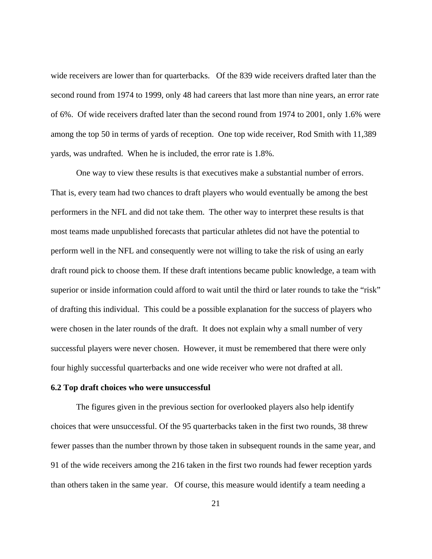wide receivers are lower than for quarterbacks. Of the 839 wide receivers drafted later than the second round from 1974 to 1999, only 48 had careers that last more than nine years, an error rate of 6%. Of wide receivers drafted later than the second round from 1974 to 2001, only 1.6% were among the top 50 in terms of yards of reception. One top wide receiver, Rod Smith with 11,389 yards, was undrafted. When he is included, the error rate is 1.8%.

One way to view these results is that executives make a substantial number of errors. That is, every team had two chances to draft players who would eventually be among the best performers in the NFL and did not take them. The other way to interpret these results is that most teams made unpublished forecasts that particular athletes did not have the potential to perform well in the NFL and consequently were not willing to take the risk of using an early draft round pick to choose them. If these draft intentions became public knowledge, a team with superior or inside information could afford to wait until the third or later rounds to take the "risk" of drafting this individual. This could be a possible explanation for the success of players who were chosen in the later rounds of the draft. It does not explain why a small number of very successful players were never chosen. However, it must be remembered that there were only four highly successful quarterbacks and one wide receiver who were not drafted at all.

#### **6.2 Top draft choices who were unsuccessful**

 The figures given in the previous section for overlooked players also help identify choices that were unsuccessful. Of the 95 quarterbacks taken in the first two rounds, 38 threw fewer passes than the number thrown by those taken in subsequent rounds in the same year, and 91 of the wide receivers among the 216 taken in the first two rounds had fewer reception yards than others taken in the same year. Of course, this measure would identify a team needing a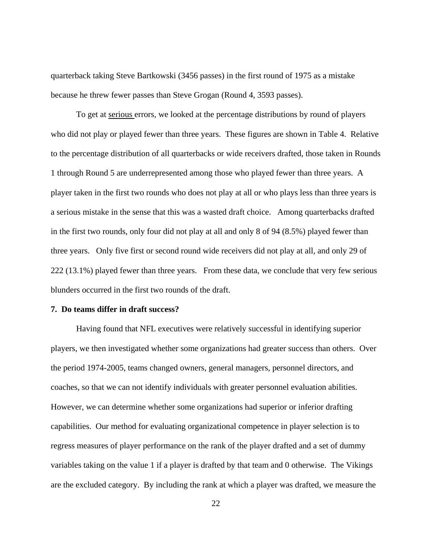quarterback taking Steve Bartkowski (3456 passes) in the first round of 1975 as a mistake because he threw fewer passes than Steve Grogan (Round 4, 3593 passes).

 To get at serious errors, we looked at the percentage distributions by round of players who did not play or played fewer than three years. These figures are shown in Table 4. Relative to the percentage distribution of all quarterbacks or wide receivers drafted, those taken in Rounds 1 through Round 5 are underrepresented among those who played fewer than three years. A player taken in the first two rounds who does not play at all or who plays less than three years is a serious mistake in the sense that this was a wasted draft choice. Among quarterbacks drafted in the first two rounds, only four did not play at all and only 8 of 94 (8.5%) played fewer than three years. Only five first or second round wide receivers did not play at all, and only 29 of 222 (13.1%) played fewer than three years. From these data, we conclude that very few serious blunders occurred in the first two rounds of the draft.

#### **7. Do teams differ in draft success?**

 Having found that NFL executives were relatively successful in identifying superior players, we then investigated whether some organizations had greater success than others. Over the period 1974-2005, teams changed owners, general managers, personnel directors, and coaches, so that we can not identify individuals with greater personnel evaluation abilities. However, we can determine whether some organizations had superior or inferior drafting capabilities. Our method for evaluating organizational competence in player selection is to regress measures of player performance on the rank of the player drafted and a set of dummy variables taking on the value 1 if a player is drafted by that team and 0 otherwise. The Vikings are the excluded category. By including the rank at which a player was drafted, we measure the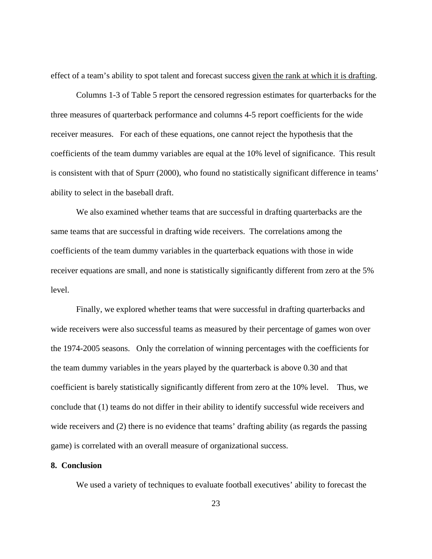effect of a team's ability to spot talent and forecast success given the rank at which it is drafting.

 Columns 1-3 of Table 5 report the censored regression estimates for quarterbacks for the three measures of quarterback performance and columns 4-5 report coefficients for the wide receiver measures. For each of these equations, one cannot reject the hypothesis that the coefficients of the team dummy variables are equal at the 10% level of significance. This result is consistent with that of Spurr (2000), who found no statistically significant difference in teams' ability to select in the baseball draft.

We also examined whether teams that are successful in drafting quarterbacks are the same teams that are successful in drafting wide receivers. The correlations among the coefficients of the team dummy variables in the quarterback equations with those in wide receiver equations are small, and none is statistically significantly different from zero at the 5% level.

Finally, we explored whether teams that were successful in drafting quarterbacks and wide receivers were also successful teams as measured by their percentage of games won over the 1974-2005 seasons. Only the correlation of winning percentages with the coefficients for the team dummy variables in the years played by the quarterback is above 0.30 and that coefficient is barely statistically significantly different from zero at the 10% level. Thus, we conclude that (1) teams do not differ in their ability to identify successful wide receivers and wide receivers and (2) there is no evidence that teams' drafting ability (as regards the passing game) is correlated with an overall measure of organizational success.

#### **8. Conclusion**

We used a variety of techniques to evaluate football executives' ability to forecast the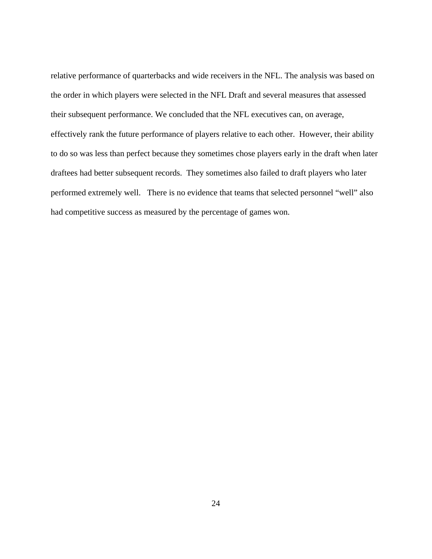relative performance of quarterbacks and wide receivers in the NFL. The analysis was based on the order in which players were selected in the NFL Draft and several measures that assessed their subsequent performance. We concluded that the NFL executives can, on average, effectively rank the future performance of players relative to each other. However, their ability to do so was less than perfect because they sometimes chose players early in the draft when later draftees had better subsequent records. They sometimes also failed to draft players who later performed extremely well. There is no evidence that teams that selected personnel "well" also had competitive success as measured by the percentage of games won.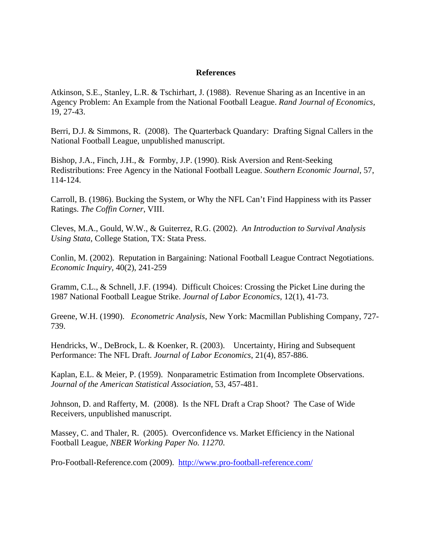## **References**

Atkinson, S.E., Stanley, L.R. & Tschirhart, J. (1988). Revenue Sharing as an Incentive in an Agency Problem: An Example from the National Football League. *Rand Journal of Economics,* 19, 27-43.

Berri, D.J. & Simmons, R. (2008). The Quarterback Quandary: Drafting Signal Callers in the National Football League, unpublished manuscript.

Bishop, J.A., Finch, J.H., & Formby, J.P. (1990). Risk Aversion and Rent-Seeking Redistributions: Free Agency in the National Football League. *Southern Economic Journal*, 57, 114-124.

Carroll, B. (1986). Bucking the System, or Why the NFL Can't Find Happiness with its Passer Ratings. *The Coffin Corner*, VIII.

Cleves, M.A., Gould, W.W., & Guiterrez, R.G. (2002). *An Introduction to Survival Analysis Using Stata*, College Station, TX: Stata Press.

Conlin, M. (2002). Reputation in Bargaining: National Football League Contract Negotiations. *Economic Inquiry,* 40(2), 241-259

Gramm, C.L., & Schnell, J.F. (1994). Difficult Choices: Crossing the Picket Line during the 1987 National Football League Strike. *Journal of Labor Economics*, 12(1), 41-73.

Greene, W.H. (1990). *Econometric Analysis*, New York: Macmillan Publishing Company, 727- 739.

Hendricks, W., DeBrock, L. & Koenker, R. (2003). Uncertainty, Hiring and Subsequent Performance: The NFL Draft. *Journal of Labor Economics*, 21(4), 857-886.

Kaplan, E.L. & Meier, P. (1959). Nonparametric Estimation from Incomplete Observations. *Journal of the American Statistical Association*, 53, 457-481.

Johnson, D. and Rafferty, M. (2008). Is the NFL Draft a Crap Shoot? The Case of Wide Receivers, unpublished manuscript.

Massey, C. and Thaler, R. (2005). Overconfidence vs. Market Efficiency in the National Football League, *NBER Working Paper No. 11270*.

Pro-Football-Reference.com (2009). http://www.pro-football-reference.com/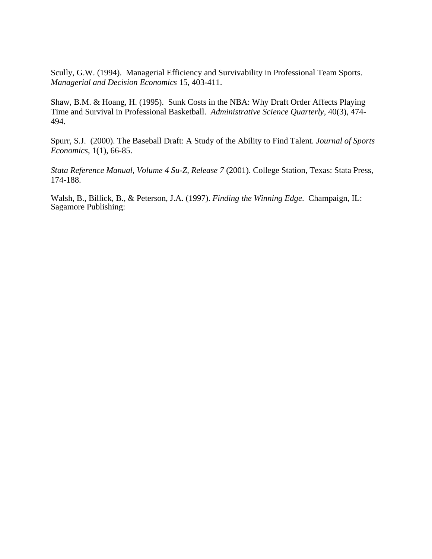Scully, G.W. (1994). Managerial Efficiency and Survivability in Professional Team Sports. *Managerial and Decision Economics* 15, 403-411.

Shaw, B.M. & Hoang, H. (1995). Sunk Costs in the NBA: Why Draft Order Affects Playing Time and Survival in Professional Basketball. *Administrative Science Quarterly*, 40(3), 474- 494.

Spurr, S.J. (2000). The Baseball Draft: A Study of the Ability to Find Talent. *Journal of Sports Economics*, 1(1), 66-85.

*Stata Reference Manual, Volume 4 Su-Z, Release 7* (2001). College Station, Texas: Stata Press, 174-188.

Walsh, B., Billick, B., & Peterson, J.A. (1997). *Finding the Winning Edge*. Champaign, IL: Sagamore Publishing: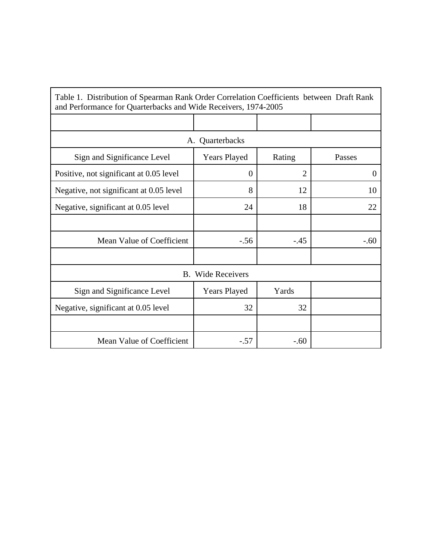| Table 1. Distribution of Spearman Rank Order Correlation Coefficients between Draft Rank<br>and Performance for Quarterbacks and Wide Receivers, 1974-2005 |                          |                |          |  |  |  |  |  |
|------------------------------------------------------------------------------------------------------------------------------------------------------------|--------------------------|----------------|----------|--|--|--|--|--|
|                                                                                                                                                            |                          |                |          |  |  |  |  |  |
| A. Quarterbacks                                                                                                                                            |                          |                |          |  |  |  |  |  |
| Sign and Significance Level                                                                                                                                | <b>Years Played</b>      | Rating         | Passes   |  |  |  |  |  |
| Positive, not significant at 0.05 level                                                                                                                    | $\overline{0}$           | $\overline{2}$ | $\theta$ |  |  |  |  |  |
| Negative, not significant at 0.05 level                                                                                                                    | 8                        | 12             | 10       |  |  |  |  |  |
| Negative, significant at 0.05 level                                                                                                                        | 24                       | 18             | 22       |  |  |  |  |  |
|                                                                                                                                                            |                          |                |          |  |  |  |  |  |
| Mean Value of Coefficient                                                                                                                                  | $-.56$                   | $-.45$         | $-.60$   |  |  |  |  |  |
|                                                                                                                                                            |                          |                |          |  |  |  |  |  |
|                                                                                                                                                            | <b>B.</b> Wide Receivers |                |          |  |  |  |  |  |
| Sign and Significance Level                                                                                                                                | <b>Years Played</b>      | Yards          |          |  |  |  |  |  |
| Negative, significant at 0.05 level                                                                                                                        | 32                       | 32             |          |  |  |  |  |  |
|                                                                                                                                                            |                          |                |          |  |  |  |  |  |
| Mean Value of Coefficient                                                                                                                                  | $-.57$                   | $-.60$         |          |  |  |  |  |  |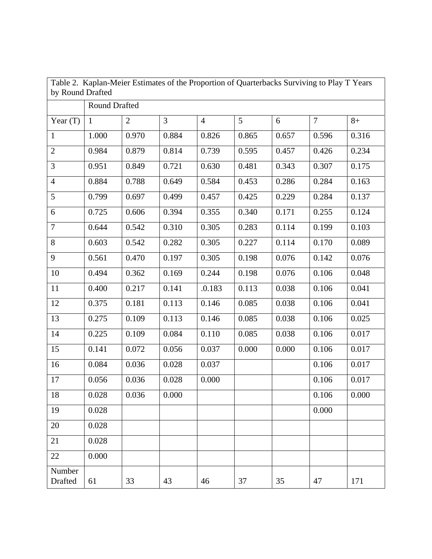| by Round Drafted         |              |                |       | Table 2. Kaplan-Meier Estimates of the Proportion of Quarterbacks Surviving to Play T Years |       |       |                |       |
|--------------------------|--------------|----------------|-------|---------------------------------------------------------------------------------------------|-------|-------|----------------|-------|
| <b>Round Drafted</b>     |              |                |       |                                                                                             |       |       |                |       |
| Year $(T)$               | $\mathbf{1}$ | $\overline{2}$ | 3     | $\overline{4}$                                                                              | 5     | 6     | $\overline{7}$ | $8+$  |
| $\mathbf{1}$             | 1.000        | 0.970          | 0.884 | 0.826                                                                                       | 0.865 | 0.657 | 0.596          | 0.316 |
| $\overline{2}$           | 0.984        | 0.879          | 0.814 | 0.739                                                                                       | 0.595 | 0.457 | 0.426          | 0.234 |
| 3                        | 0.951        | 0.849          | 0.721 | 0.630                                                                                       | 0.481 | 0.343 | 0.307          | 0.175 |
| $\overline{4}$           | 0.884        | 0.788          | 0.649 | 0.584                                                                                       | 0.453 | 0.286 | 0.284          | 0.163 |
| 5                        | 0.799        | 0.697          | 0.499 | 0.457                                                                                       | 0.425 | 0.229 | 0.284          | 0.137 |
| 6                        | 0.725        | 0.606          | 0.394 | 0.355                                                                                       | 0.340 | 0.171 | 0.255          | 0.124 |
| $\overline{7}$           | 0.644        | 0.542          | 0.310 | 0.305                                                                                       | 0.283 | 0.114 | 0.199          | 0.103 |
| 8                        | 0.603        | 0.542          | 0.282 | 0.305                                                                                       | 0.227 | 0.114 | 0.170          | 0.089 |
| 9                        | 0.561        | 0.470          | 0.197 | 0.305                                                                                       | 0.198 | 0.076 | 0.142          | 0.076 |
| 10                       | 0.494        | 0.362          | 0.169 | 0.244                                                                                       | 0.198 | 0.076 | 0.106          | 0.048 |
| 11                       | 0.400        | 0.217          | 0.141 | .0.183                                                                                      | 0.113 | 0.038 | 0.106          | 0.041 |
| 12                       | 0.375        | 0.181          | 0.113 | 0.146                                                                                       | 0.085 | 0.038 | 0.106          | 0.041 |
| 13                       | 0.275        | 0.109          | 0.113 | 0.146                                                                                       | 0.085 | 0.038 | 0.106          | 0.025 |
| 14                       | 0.225        | 0.109          | 0.084 | 0.110                                                                                       | 0.085 | 0.038 | 0.106          | 0.017 |
| 15                       | 0.141        | 0.072          | 0.056 | 0.037                                                                                       | 0.000 | 0.000 | 0.106          | 0.017 |
| 16                       | 0.084        | 0.036          | 0.028 | 0.037                                                                                       |       |       | 0.106          | 0.017 |
| 17                       | 0.056        | 0.036          | 0.028 | 0.000                                                                                       |       |       | 0.106          | 0.017 |
| 18                       | 0.028        | 0.036          | 0.000 |                                                                                             |       |       | 0.106          | 0.000 |
| 19                       | 0.028        |                |       |                                                                                             |       |       | 0.000          |       |
| 20                       | 0.028        |                |       |                                                                                             |       |       |                |       |
| 21                       | 0.028        |                |       |                                                                                             |       |       |                |       |
| 22                       | 0.000        |                |       |                                                                                             |       |       |                |       |
| Number<br><b>Drafted</b> | 61           | 33             | 43    | 46                                                                                          | 37    | 35    | 47             | 171   |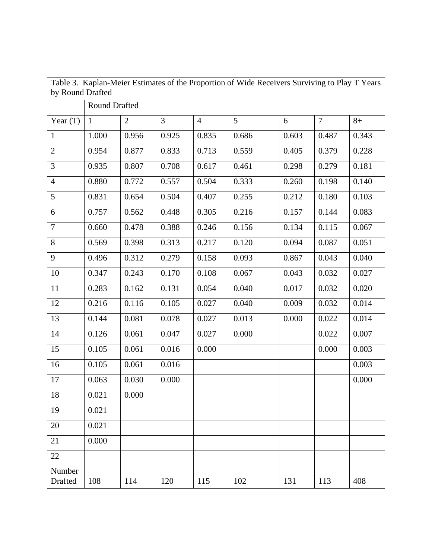| by Round Drafted  |                      |                |                |                | Table 3. Kaplan-Meier Estimates of the Proportion of Wide Receivers Surviving to Play T Years |       |                |       |  |
|-------------------|----------------------|----------------|----------------|----------------|-----------------------------------------------------------------------------------------------|-------|----------------|-------|--|
|                   | <b>Round Drafted</b> |                |                |                |                                                                                               |       |                |       |  |
| Year $(T)$        | $\mathbf{1}$         | $\overline{2}$ | $\overline{3}$ | $\overline{4}$ | 5                                                                                             | 6     | $\overline{7}$ | $8+$  |  |
| $\mathbf{1}$      | 1.000                | 0.956          | 0.925          | 0.835          | 0.686                                                                                         | 0.603 | 0.487          | 0.343 |  |
| $\mathbf{2}$      | 0.954                | 0.877          | 0.833          | 0.713          | 0.559                                                                                         | 0.405 | 0.379          | 0.228 |  |
| 3                 | 0.935                | 0.807          | 0.708          | 0.617          | 0.461                                                                                         | 0.298 | 0.279          | 0.181 |  |
| $\overline{4}$    | 0.880                | 0.772          | 0.557          | 0.504          | 0.333                                                                                         | 0.260 | 0.198          | 0.140 |  |
| 5                 | 0.831                | 0.654          | 0.504          | 0.407          | 0.255                                                                                         | 0.212 | 0.180          | 0.103 |  |
| 6                 | 0.757                | 0.562          | 0.448          | 0.305          | 0.216                                                                                         | 0.157 | 0.144          | 0.083 |  |
| $\tau$            | 0.660                | 0.478          | 0.388          | 0.246          | 0.156                                                                                         | 0.134 | 0.115          | 0.067 |  |
| 8                 | 0.569                | 0.398          | 0.313          | 0.217          | 0.120                                                                                         | 0.094 | 0.087          | 0.051 |  |
| 9                 | 0.496                | 0.312          | 0.279          | 0.158          | 0.093                                                                                         | 0.867 | 0.043          | 0.040 |  |
| 10                | 0.347                | 0.243          | 0.170          | 0.108          | 0.067                                                                                         | 0.043 | 0.032          | 0.027 |  |
| 11                | 0.283                | 0.162          | 0.131          | 0.054          | 0.040                                                                                         | 0.017 | 0.032          | 0.020 |  |
| 12                | 0.216                | 0.116          | 0.105          | 0.027          | 0.040                                                                                         | 0.009 | 0.032          | 0.014 |  |
| 13                | 0.144                | 0.081          | 0.078          | 0.027          | 0.013                                                                                         | 0.000 | 0.022          | 0.014 |  |
| 14                | 0.126                | 0.061          | 0.047          | 0.027          | 0.000                                                                                         |       | 0.022          | 0.007 |  |
| 15                | 0.105                | 0.061          | 0.016          | 0.000          |                                                                                               |       | 0.000          | 0.003 |  |
| 16                | 0.105                | 0.061          | 0.016          |                |                                                                                               |       |                | 0.003 |  |
| 17                | 0.063                | 0.030          | 0.000          |                |                                                                                               |       |                | 0.000 |  |
| 18                | 0.021                | 0.000          |                |                |                                                                                               |       |                |       |  |
| 19                | 0.021                |                |                |                |                                                                                               |       |                |       |  |
| 20                | 0.021                |                |                |                |                                                                                               |       |                |       |  |
| 21                | 0.000                |                |                |                |                                                                                               |       |                |       |  |
| 22                |                      |                |                |                |                                                                                               |       |                |       |  |
| Number<br>Drafted | 108                  | 114            | 120            | 115            | 102                                                                                           | 131   | 113            | 408   |  |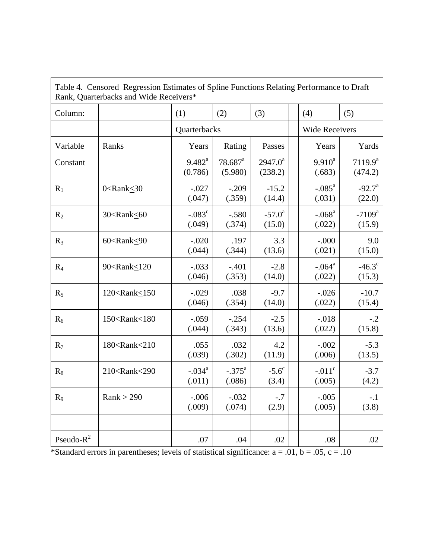|                | Table 4. Censored Regression Estimates of Spline Functions Relating Performance to Draft<br>Rank, Quarterbacks and Wide Receivers*                                                                                                                     |                        |                                  |                           |     |                       |                           |
|----------------|--------------------------------------------------------------------------------------------------------------------------------------------------------------------------------------------------------------------------------------------------------|------------------------|----------------------------------|---------------------------|-----|-----------------------|---------------------------|
| Column:        |                                                                                                                                                                                                                                                        | (1)                    | (2)                              | (3)                       | (4) |                       | (5)                       |
|                |                                                                                                                                                                                                                                                        | Quarterbacks           |                                  |                           |     | <b>Wide Receivers</b> |                           |
| Variable       | Ranks                                                                                                                                                                                                                                                  | Years                  | Rating                           | Passes                    |     | Years                 | Yards                     |
| Constant       |                                                                                                                                                                                                                                                        | $9.482^{a}$<br>(0.786) | $78.687$ <sup>a</sup><br>(5.980) | $2947.0^a$<br>(238.2)     |     | $9.910^a$<br>(.683)   | $7119.9^a$<br>(474.2)     |
| $R_1$          | $0$ < Rank < 30                                                                                                                                                                                                                                        | $-.027$<br>(.047)      | $-.209$<br>(.359)                | $-15.2$<br>(14.4)         |     | $-.085^a$<br>(.031)   | $-92.7^{\circ}$<br>(22.0) |
| $R_2$          | 30 <rank<60< td=""><td><math>-.083^c</math><br/>(.049)</td><td><math>-.580</math><br/>(.374)</td><td><math>-57.0^{\circ}</math><br/>(15.0)</td><td></td><td><math>-.068a</math><br/>(.022)</td><td><math>-7109^a</math><br/>(15.9)</td></rank<60<>     | $-.083^c$<br>(.049)    | $-.580$<br>(.374)                | $-57.0^{\circ}$<br>(15.0) |     | $-.068a$<br>(.022)    | $-7109^a$<br>(15.9)       |
| $R_3$          | 60 <rank<90< td=""><td><math>-.020</math><br/>(.044)</td><td>.197<br/>(.344)</td><td>3.3<br/>(13.6)</td><td></td><td><math>-.000</math><br/>(.021)</td><td>9.0<br/>(15.0)</td></rank<90<>                                                              | $-.020$<br>(.044)      | .197<br>(.344)                   | 3.3<br>(13.6)             |     | $-.000$<br>(.021)     | 9.0<br>(15.0)             |
| R <sub>4</sub> | 90 <rank<120< td=""><td><math>-.033</math><br/>(.046)</td><td><math>-.401</math><br/>(.353)</td><td><math>-2.8</math><br/>(14.0)</td><td></td><td><math>-.064a</math><br/>(.022)</td><td><math>-46.3^{\circ}</math><br/>(15.3)</td></rank<120<>        | $-.033$<br>(.046)      | $-.401$<br>(.353)                | $-2.8$<br>(14.0)          |     | $-.064a$<br>(.022)    | $-46.3^{\circ}$<br>(15.3) |
| $R_5$          | 120 <rank<150< td=""><td><math>-.029</math><br/>(.046)</td><td>.038<br/>(.354)</td><td><math>-9.7</math><br/>(14.0)</td><td></td><td><math>-.026</math><br/>(.022)</td><td><math>-10.7</math><br/>(15.4)</td></rank<150<>                              | $-.029$<br>(.046)      | .038<br>(.354)                   | $-9.7$<br>(14.0)          |     | $-.026$<br>(.022)     | $-10.7$<br>(15.4)         |
| $R_6$          | 150 <rank<180< td=""><td><math>-.059</math><br/>(.044)</td><td><math>-.254</math><br/>(.343)</td><td><math>-2.5</math><br/>(13.6)</td><td></td><td><math>-.018</math><br/>(.022)</td><td><math>-.2</math><br/>(15.8)</td></rank<180<>                  | $-.059$<br>(.044)      | $-.254$<br>(.343)                | $-2.5$<br>(13.6)          |     | $-.018$<br>(.022)     | $-.2$<br>(15.8)           |
| $R_7$          | 180 <rank<210< td=""><td>.055<br/>(.039)</td><td>.032<br/>(.302)</td><td>4.2<br/>(11.9)</td><td></td><td><math>-.002</math><br/>(.006)</td><td><math>-5.3</math><br/>(13.5)</td></rank<210<>                                                           | .055<br>(.039)         | .032<br>(.302)                   | 4.2<br>(11.9)             |     | $-.002$<br>(.006)     | $-5.3$<br>(13.5)          |
| $R_8$          | 210 <rank<290< td=""><td><math>-.034a</math><br/>(.011)</td><td><math>-.375^{\circ}</math><br/>(.086)</td><td><math>-5.6^{\circ}</math><br/>(3.4)</td><td></td><td><math>-.011c</math><br/>(.005)</td><td><math>-3.7</math><br/>(4.2)</td></rank<290<> | $-.034a$<br>(.011)     | $-.375^{\circ}$<br>(.086)        | $-5.6^{\circ}$<br>(3.4)   |     | $-.011c$<br>(.005)    | $-3.7$<br>(4.2)           |
| $R_9$          | Rank > 290                                                                                                                                                                                                                                             | $-.006$<br>(.009)      | $-.032$<br>(.074)                | $-.7$<br>(2.9)            |     | $-.005$<br>(.005)     | $-.1$<br>(3.8)            |
|                |                                                                                                                                                                                                                                                        |                        |                                  |                           |     |                       |                           |
| Pseudo- $R^2$  |                                                                                                                                                                                                                                                        | .07                    | .04                              | .02                       |     | .08                   | .02                       |

\*Standard errors in parentheses; levels of statistical significance:  $a = .01$ ,  $b = .05$ ,  $c = .10$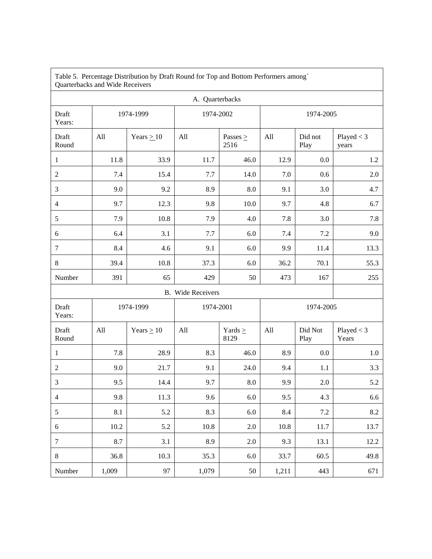| Quarterbacks and Wide Receivers |       |                 |                          |                       |           |                 |                     |  |
|---------------------------------|-------|-----------------|--------------------------|-----------------------|-----------|-----------------|---------------------|--|
|                                 |       |                 | A. Quarterbacks          |                       |           |                 |                     |  |
| Draft<br>Years:                 |       | 1974-1999       | 1974-2002                |                       | 1974-2005 |                 |                     |  |
| Draft<br>Round                  | All   | Years $\geq$ 10 | All                      | Passes $\geq$<br>2516 | All       | Did not<br>Play | Player < 3<br>years |  |
| $\mathbf{1}$                    | 11.8  | 33.9            | 11.7                     | 46.0                  | 12.9      | 0.0             | 1.2                 |  |
| $\overline{2}$                  | 7.4   | 15.4            | 7.7                      | 14.0                  | 7.0       | 0.6             | 2.0                 |  |
| 3                               | 9.0   | 9.2             | 8.9                      | 8.0                   | 9.1       | 3.0             | 4.7                 |  |
| $\overline{4}$                  | 9.7   | 12.3            | 9.8                      | 10.0                  | 9.7       | 4.8             | 6.7                 |  |
| 5                               | 7.9   | 10.8            | 7.9                      | 4.0                   | 7.8       | 3.0             | 7.8                 |  |
| $6\,$                           | 6.4   | 3.1             | 7.7                      | $6.0\,$               | 7.4       | $7.2\,$         | 9.0                 |  |
| $\tau$                          | 8.4   | 4.6             | 9.1                      | 6.0                   | 9.9       | 11.4            | 13.3                |  |
| $8\,$                           | 39.4  | 10.8            | 37.3                     | 6.0                   | 36.2      | 70.1            | 55.3                |  |
| Number                          | 391   | 65              | 429                      | 50                    | 473       | 167             | 255                 |  |
|                                 |       |                 | <b>B.</b> Wide Receivers |                       |           |                 |                     |  |
| Draft<br>Years:                 |       | 1974-1999       | 1974-2001                |                       | 1974-2005 |                 |                     |  |
| Draft<br>Round                  | All   | Years $\geq 10$ | All                      | Yards $\geq$<br>8129  | All       | Did Not<br>Play | Player < 3<br>Years |  |
| $\mathbf{1}$                    | 7.8   | 28.9            | 8.3                      | 46.0                  | 8.9       | 0.0             | 1.0                 |  |
| $\overline{2}$                  | 9.0   | 21.7            | 9.1                      | 24.0                  | 9.4       | 1.1             | 3.3                 |  |
| $\mathfrak{Z}$                  | 9.5   | 14.4            | 9.7                      | $8.0\,$               | 9.9       | 2.0             | 5.2                 |  |
| $\overline{4}$                  | 9.8   | 11.3            | 9.6                      | $6.0\,$               | 9.5       | $4.3$           | 6.6                 |  |
| 5                               | 8.1   | 5.2             | 8.3                      | 6.0                   | 8.4       | 7.2             | 8.2                 |  |
| $\sqrt{6}$                      | 10.2  | 5.2             | 10.8                     | 2.0                   | 10.8      | 11.7            | 13.7                |  |
| $\tau$                          | 8.7   | 3.1             | 8.9                      | 2.0                   | 9.3       | 13.1            | 12.2                |  |
| $8\,$                           | 36.8  | 10.3            | 35.3                     | 6.0                   | 33.7      | 60.5            | 49.8                |  |
| Number                          | 1,009 | 97              | 1,079                    | 50                    | 1,211     | 443             | 671                 |  |

Table 5. Percentage Distribution by Draft Round for Top and Bottom Performers among`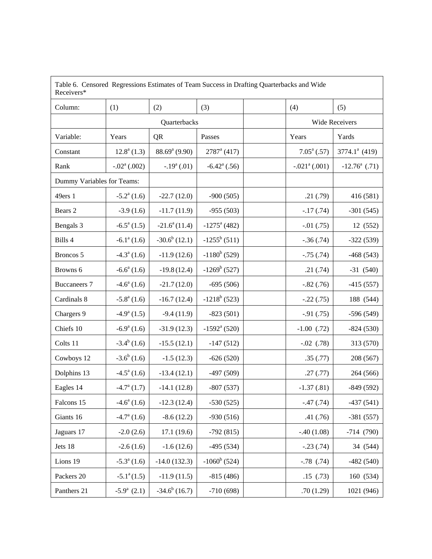| Table 6. Censored Regressions Estimates of Team Success in Drafting Quarterbacks and Wide<br>Receivers* |                          |                  |                            |                       |                         |                        |
|---------------------------------------------------------------------------------------------------------|--------------------------|------------------|----------------------------|-----------------------|-------------------------|------------------------|
| Column:                                                                                                 | (1)                      | (2)              | (3)                        |                       | (4)                     | (5)                    |
|                                                                                                         |                          | Quarterbacks     |                            | <b>Wide Receivers</b> |                         |                        |
| Variable:                                                                                               | Years                    | <b>QR</b>        | Passes                     |                       | Years                   | Yards                  |
| Constant                                                                                                | $12.8^a(1.3)$            | $88.69a$ (9.90)  | $2787^{\rm a}$ (417)       |                       | $7.05^{\text{a}}$ (.57) | $3774.1^a$ (419)       |
| Rank                                                                                                    | $-.02a$ (.002)           | $-.19a$ (.01)    | $-6.42^{\mathrm{a}}$ (.56) |                       | $-.021a$ (.001)         | $-12.76^{\circ}$ (.71) |
| Dummy Variables for Teams:                                                                              |                          |                  |                            |                       |                         |                        |
| 49ers 1                                                                                                 | $-5.2^{\mathrm{a}}(1.6)$ | $-22.7(12.0)$    | $-900(505)$                |                       | .21(.79)                | 416 (581)              |
| Bears 2                                                                                                 | $-3.9(1.6)$              | $-11.7(11.9)$    | $-955(503)$                |                       | $-.17(.74)$             | $-301(545)$            |
| Bengals 3                                                                                               | $-6.5^a(1.5)$            | $-21.6^a(11.4)$  | $-1275$ <sup>a</sup> (482) |                       | $-.01(.75)$             | 12 (552)               |
| Bills 4                                                                                                 | $-6.1^a(1.6)$            | $-30.6^b(12.1)$  | $-1255^b(511)$             |                       | $-.36(.74)$             | $-322(539)$            |
| Broncos 5                                                                                               | $-4.3^{\circ}$ (1.6)     | $-11.9(12.6)$    | $-1180^b$ (529)            |                       | $-.75(.74)$             | $-468(543)$            |
| Browns 6                                                                                                | $-6.6^a(1.6)$            | $-19.8(12.4)$    | $-1269^b(527)$             |                       | .21(.74)                | $-31(540)$             |
| <b>Buccaneers 7</b>                                                                                     | $-4.6^a(1.6)$            | $-21.7(12.0)$    | $-695(506)$                |                       | $-.82(.76)$             | $-415(557)$            |
| Cardinals 8                                                                                             | $-5.8^a(1.6)$            | $-16.7(12.4)$    | $-1218^b$ (523)            |                       | $-.22(.75)$             | 188 (544)              |
| Chargers 9                                                                                              | $-4.9^{\mathrm{a}}(1.5)$ | $-9.4(11.9)$     | $-823(501)$                |                       | $-.91(.75)$             | $-596(549)$            |
| Chiefs 10                                                                                               | $-6.9^{\mathrm{a}}(1.6)$ | $-31.9(12.3)$    | $-1592^{\mathrm{a}}(520)$  |                       | $-1.00$ (.72)           | $-824(530)$            |
| Colts 11                                                                                                | $-3.4^b$ (1.6)           | $-15.5(12.1)$    | $-147(512)$                |                       | $-.02$ $(.78)$          | 313 (570)              |
| Cowboys 12                                                                                              | $-3.6^b(1.6)$            | $-1.5(12.3)$     | $-626(520)$                |                       | .35(.77)                | 208 (567)              |
| Dolphins 13                                                                                             | $-4.5^a(1.6)$            | $-13.4(12.1)$    | $-497(509)$                |                       | .27(.77)                | 264 (566)              |
| Eagles 14                                                                                               | $-4.7^{\rm a}$ (1.7)     | $-14.1(12.8)$    | $-807(537)$                |                       | $-1.37(0.81)$           | $-849(592)$            |
| Falcons 15                                                                                              | $-4.6^{\circ}$ (1.6)     | $-12.3(12.4)$    | $-530(525)$                |                       | $-0.47(0.74)$           | $-437(541)$            |
| Giants 16                                                                                               | $-4.7^{\mathrm{a}}(1.6)$ | $-8.6(12.2)$     | $-930(516)$                |                       | .41(.76)                | $-381(557)$            |
| Jaguars 17                                                                                              | $-2.0(2.6)$              | 17.1(19.6)       | $-792(815)$                |                       | $-.40(1.08)$            | $-714(790)$            |
| Jets 18                                                                                                 | $-2.6(1.6)$              | $-1.6(12.6)$     | $-495(534)$                |                       | $-.23(.74)$             | 34 (544)               |
| Lions 19                                                                                                | $-5.3^a(1.6)$            | $-14.0(132.3)$   | $-1060^b(524)$             |                       | $-.78$ $(.74)$          | $-482(540)$            |
| Packers 20                                                                                              | $-5.1^a(1.5)$            | $-11.9(11.5)$    | $-815(486)$                |                       | .15( .73)               | 160 (534)              |
| Panthers 21                                                                                             | $-5.9^a$ (2.1)           | $-34.6^b$ (16.7) | $-710(698)$                |                       | .70(1.29)               | 1021 (946)             |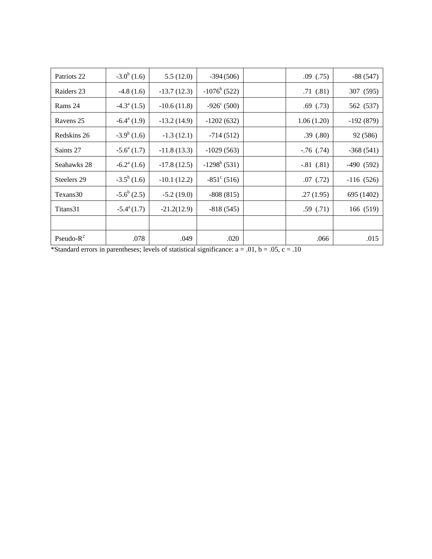| Patriots 22   | $-3.0^b(1.6)$            | 5.5(12.0)     | $-394(506)$          | .09(0.75)      | $-88(547)$  |
|---------------|--------------------------|---------------|----------------------|----------------|-------------|
| Raiders 23    | $-4.8(1.6)$              | $-13.7(12.3)$ | $-1076^b(522)$       | .71(.81)       | 307 (595)   |
| Rams 24       | $-4.3^{\circ}$ (1.5)     | $-10.6(11.8)$ | $-926^{\circ}$ (500) | .69(.73)       | 562 (537)   |
| Ravens 25     | $-6.4^{\circ}$ (1.9)     | $-13.2(14.9)$ | $-1202(632)$         | 1.06(1.20)     | $-192(879)$ |
| Redskins 26   | $-3.9^b(1.6)$            | $-1.3(12.1)$  | $-714(512)$          | .39(.80)       | 92 (586)    |
| Saints 27     | $-5.6^{\circ}$ (1.7)     | $-11.8(13.3)$ | $-1029(563)$         | $-.76$ $(.74)$ | $-368(541)$ |
| Seahawks 28   | $-6.2^{\mathrm{a}}(1.6)$ | $-17.8(12.5)$ | $-1298^b(531)$       | $-.81(.81)$    | -490 (592)  |
| Steelers 29   | $-3.5^b(1.6)$            | $-10.1(12.2)$ | $-851^{\circ}$ (516) | .07(0.72)      | $-116(526)$ |
| Texans30      | $-5.6^b(2.5)$            | $-5.2(19.0)$  | $-808(815)$          | .27(1.95)      | 695 (1402)  |
| Titans31      | $-5.4^{\rm a}(1.7)$      | $-21.2(12.9)$ | $-818(545)$          | .59(.71)       | 166 (519)   |
|               |                          |               |                      |                |             |
| Pseudo- $R^2$ | .078                     | .049          | .020                 | .066           | .015        |

\*Standard errors in parentheses; levels of statistical significance:  $a = .01$ ,  $b = .05$ ,  $c = .10$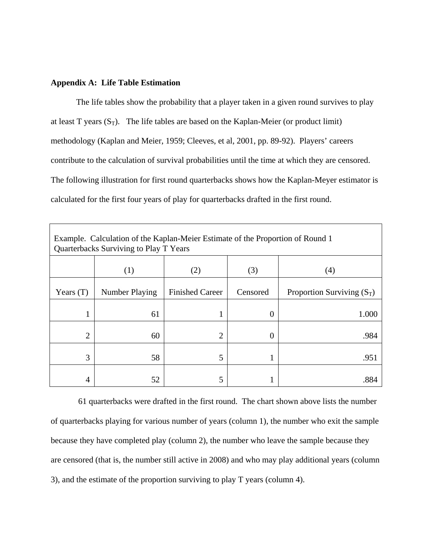#### **Appendix A: Life Table Estimation**

The life tables show the probability that a player taken in a given round survives to play at least T years  $(S_T)$ . The life tables are based on the Kaplan-Meier (or product limit) methodology (Kaplan and Meier, 1959; Cleeves, et al, 2001, pp. 89-92). Players' careers contribute to the calculation of survival probabilities until the time at which they are censored. The following illustration for first round quarterbacks shows how the Kaplan-Meyer estimator is calculated for the first four years of play for quarterbacks drafted in the first round.

| Example. Calculation of the Kaplan-Meier Estimate of the Proportion of Round 1<br>Quarterbacks Surviving to Play T Years |                |                        |          |                              |  |  |  |
|--------------------------------------------------------------------------------------------------------------------------|----------------|------------------------|----------|------------------------------|--|--|--|
|                                                                                                                          | (1)            | (2)                    | (3)      | (4)                          |  |  |  |
| Years $(T)$                                                                                                              | Number Playing | <b>Finished Career</b> | Censored | Proportion Surviving $(S_T)$ |  |  |  |
| 1                                                                                                                        | 61             |                        | U        | 1.000                        |  |  |  |
| $\overline{2}$                                                                                                           | 60             | $\overline{2}$         | O        | .984                         |  |  |  |
| 3                                                                                                                        | 58             | 5                      |          | .951                         |  |  |  |
| 4                                                                                                                        | 52             | 5                      |          |                              |  |  |  |

 61 quarterbacks were drafted in the first round. The chart shown above lists the number of quarterbacks playing for various number of years (column 1), the number who exit the sample because they have completed play (column 2), the number who leave the sample because they are censored (that is, the number still active in 2008) and who may play additional years (column 3), and the estimate of the proportion surviving to play T years (column 4).